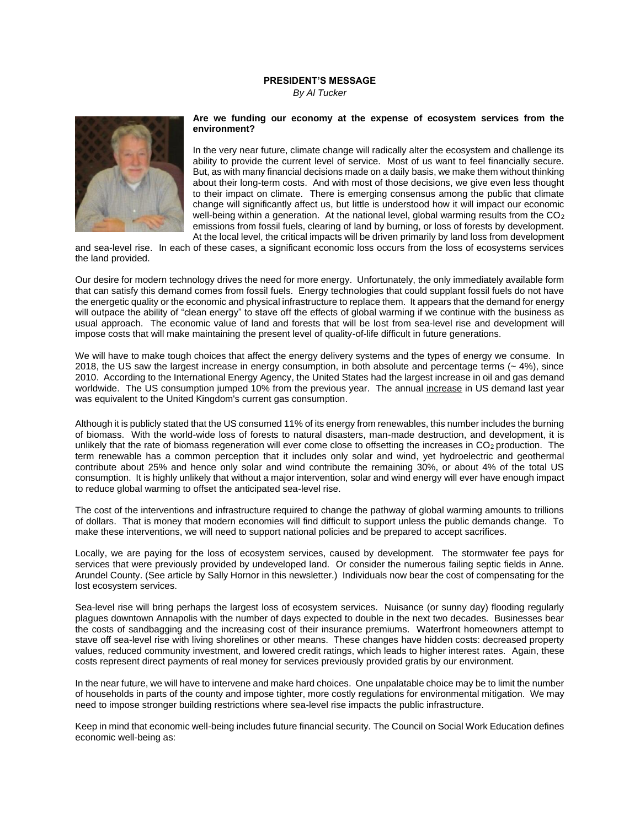## **PRESIDENT'S MESSAGE**

*By Al Tucker*



## **Are we funding our economy at the expense of ecosystem services from the environment?**

In the very near future, climate change will radically alter the ecosystem and challenge its ability to provide the current level of service. Most of us want to feel financially secure. But, as with many financial decisions made on a daily basis, we make them without thinking about their long-term costs. And with most of those decisions, we give even less thought to their impact on climate. There is emerging consensus among the public that climate change will significantly affect us, but little is understood how it will impact our economic well-being within a generation. At the national level, global warming results from the  $CO<sub>2</sub>$ emissions from fossil fuels, clearing of land by burning, or loss of forests by development. At the local level, the critical impacts will be driven primarily by land loss from development

and sea-level rise. In each of these cases, a significant economic loss occurs from the loss of ecosystems services the land provided.

Our desire for modern technology drives the need for more energy. Unfortunately, the only immediately available form that can satisfy this demand comes from fossil fuels. Energy technologies that could supplant fossil fuels do not have the energetic quality or the economic and physical infrastructure to replace them. It appears that the demand for energy will outpace the ability of "clean energy" to stave off the effects of global warming if we continue with the business as usual approach. The economic value of land and forests that will be lost from sea-level rise and development will impose costs that will make maintaining the present level of quality-of-life difficult in future generations.

We will have to make tough choices that affect the energy delivery systems and the types of energy we consume. In 2018, the US saw the largest increase in energy consumption, in both absolute and percentage terms  $(-4\%)$ , since 2010. According to the International Energy Agency, the United States had the largest increase in oil and gas demand worldwide. The US consumption jumped 10% from the previous year. The annual increase in US demand last year was equivalent to the United Kingdom's current gas consumption.

Although it is publicly stated that the US consumed 11% of its energy from renewables, this number includes the burning of biomass. With the world-wide loss of forests to natural disasters, man-made destruction, and development, it is unlikely that the rate of biomass regeneration will ever come close to offsetting the increases in  $CO<sub>2</sub>$  production. The term renewable has a common perception that it includes only solar and wind, yet hydroelectric and geothermal contribute about 25% and hence only solar and wind contribute the remaining 30%, or about 4% of the total US consumption. It is highly unlikely that without a major intervention, solar and wind energy will ever have enough impact to reduce global warming to offset the anticipated sea-level rise.

The cost of the interventions and infrastructure required to change the pathway of global warming amounts to trillions of dollars. That is money that modern economies will find difficult to support unless the public demands change. To make these interventions, we will need to support national policies and be prepared to accept sacrifices.

Locally, we are paying for the loss of ecosystem services, caused by development. The stormwater fee pays for services that were previously provided by undeveloped land. Or consider the numerous failing septic fields in Anne. Arundel County. (See article by Sally Hornor in this newsletter.) Individuals now bear the cost of compensating for the lost ecosystem services.

Sea-level rise will bring perhaps the largest loss of ecosystem services. Nuisance (or sunny day) flooding regularly plagues downtown Annapolis with the number of days expected to double in the next two decades. Businesses bear the costs of sandbagging and the increasing cost of their insurance premiums. Waterfront homeowners attempt to stave off sea-level rise with living shorelines or other means. These changes have hidden costs: decreased property values, reduced community investment, and lowered credit ratings, which leads to higher interest rates. Again, these costs represent direct payments of real money for services previously provided gratis by our environment.

In the near future, we will have to intervene and make hard choices. One unpalatable choice may be to limit the number of households in parts of the county and impose tighter, more costly regulations for environmental mitigation. We may need to impose stronger building restrictions where sea-level rise impacts the public infrastructure.

Keep in mind that economic well-being includes future financial security. The Council on Social Work Education defines economic well-being as: